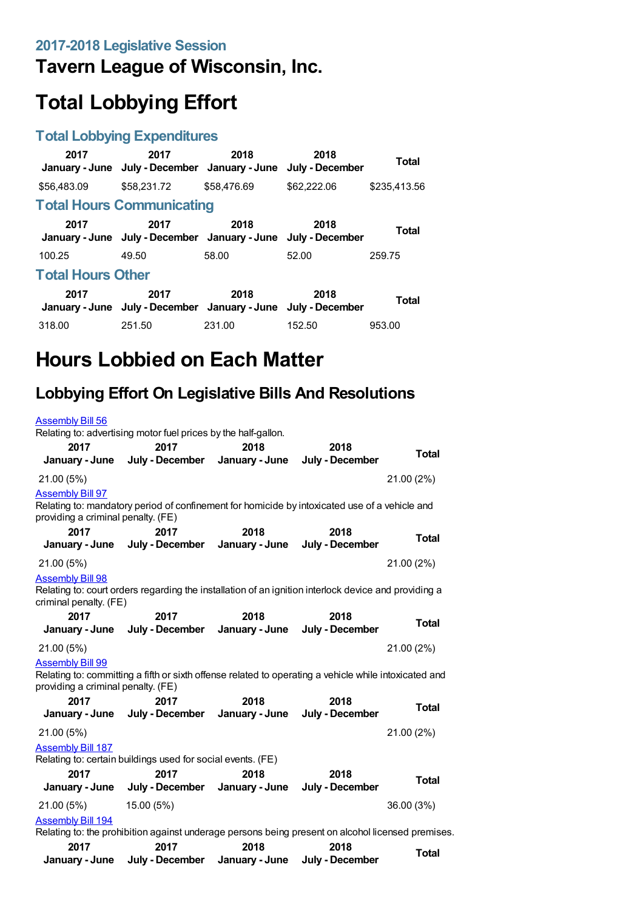## **Tavern League of Wisconsin, Inc.**

# **Total Lobbying Effort**

### **Total Lobbying Expenditures**

| 2017                     | 2017<br>January - June July - December January - June                 | 2018        | 2018<br>July - December | <b>Total</b> |  |
|--------------------------|-----------------------------------------------------------------------|-------------|-------------------------|--------------|--|
| \$56,483.09              | \$58,231,72                                                           | \$58,476.69 | \$62,222.06             | \$235.413.56 |  |
|                          | <b>Total Hours Communicating</b>                                      |             |                         |              |  |
| 2017                     | 2017<br>January - June July - December January - June July - December | 2018        | 2018                    | <b>Total</b> |  |
| 100.25                   | 49.50                                                                 | 58.00       | 52.00                   | 259.75       |  |
| <b>Total Hours Other</b> |                                                                       |             |                         |              |  |
| 2017                     | 2017<br>January - June July - December January - June July - December | 2018        | 2018                    | Total        |  |
| 318.00                   | 251.50                                                                | 231.00      | 152.50                  | 953.00       |  |

# **Hours Lobbied on Each Matter**

## **Lobbying Effort On Legislative Bills And Resolutions**

| <b>Assembly Bill 56</b>                                       |                                                                                                       |                        |                         |              |
|---------------------------------------------------------------|-------------------------------------------------------------------------------------------------------|------------------------|-------------------------|--------------|
|                                                               | Relating to: advertising motor fuel prices by the half-gallon.                                        |                        |                         |              |
| 2017<br>January - June                                        | 2017<br>July - December                                                                               | 2018<br>January - June | 2018<br>July - December | <b>Total</b> |
| 21.00 (5%)                                                    |                                                                                                       |                        |                         | 21.00 (2%)   |
| <b>Assembly Bill 97</b><br>providing a criminal penalty. (FE) | Relating to: mandatory period of confinement for homicide by intoxicated use of a vehicle and         |                        |                         |              |
| 2017                                                          | 2017                                                                                                  | 2018                   | 2018                    | <b>Total</b> |
| January - June                                                | July - December                                                                                       | January - June         | July - December         |              |
| 21.00 (5%)                                                    |                                                                                                       |                        |                         | 21.00 (2%)   |
| <b>Assembly Bill 98</b><br>criminal penalty. (FE)             | Relating to: court orders regarding the installation of an ignition interlock device and providing a  |                        |                         |              |
| 2017                                                          | 2017                                                                                                  | 2018                   | 2018                    | Total        |
| January - June                                                | July - December                                                                                       | January - June         | July - December         |              |
| 21.00 (5%)                                                    |                                                                                                       |                        |                         | 21.00 (2%)   |
| <b>Assembly Bill 99</b><br>providing a criminal penalty. (FE) | Relating to: committing a fifth or sixth offense related to operating a vehicle while intoxicated and |                        |                         |              |
| 2017<br>January - June                                        | 2017<br>July - December                                                                               | 2018<br>January - June | 2018<br>July - December | <b>Total</b> |
| 21.00 (5%)                                                    |                                                                                                       |                        |                         | 21.00 (2%)   |
| <b>Assembly Bill 187</b>                                      |                                                                                                       |                        |                         |              |
|                                                               | Relating to: certain buildings used for social events. (FE)                                           |                        |                         |              |
| 2017                                                          | 2017                                                                                                  | 2018                   | 2018                    | <b>Total</b> |
| January - June                                                | July - December                                                                                       | January - June         | July - December         |              |
| 21.00 (5%)                                                    | 15.00 (5%)                                                                                            |                        |                         | 36.00 (3%)   |
| <b>Assembly Bill 194</b>                                      |                                                                                                       |                        |                         |              |
|                                                               | Relating to: the prohibition against underage persons being present on alcohol licensed premises.     |                        |                         |              |
| 2017                                                          | 2017                                                                                                  | 2018                   | 2018                    | <b>Total</b> |
| January - June                                                | July - December                                                                                       | January - June         | July - December         |              |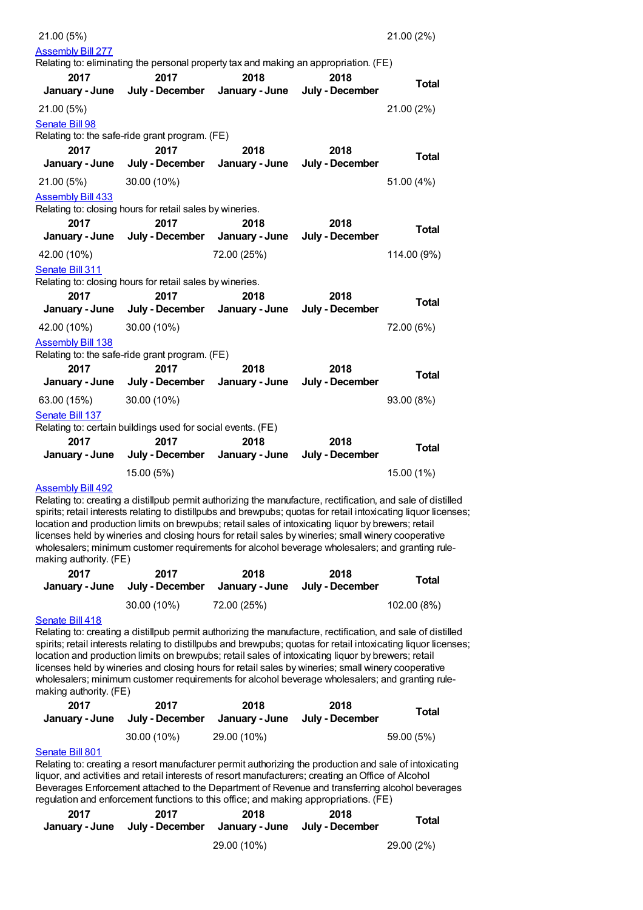| 21.00 (5%)               |                                                                                      |                |                 | 21.00 (2%)   |
|--------------------------|--------------------------------------------------------------------------------------|----------------|-----------------|--------------|
| <b>Assembly Bill 277</b> |                                                                                      |                |                 |              |
|                          | Relating to: eliminating the personal property tax and making an appropriation. (FE) |                |                 |              |
| 2017                     | 2017                                                                                 | 2018           | 2018            | <b>Total</b> |
| January - June           | July - December                                                                      | January - June | July - December |              |
| 21.00 (5%)               |                                                                                      |                |                 | 21.00 (2%)   |
| Senate Bill 98           |                                                                                      |                |                 |              |
|                          | Relating to: the safe-ride grant program. (FE)                                       |                |                 |              |
| 2017                     | 2017                                                                                 | 2018           | 2018            | <b>Total</b> |
| January - June           | July - December                                                                      | January - June | July - December |              |
| 21.00 (5%)               | 30.00 (10%)                                                                          |                |                 | 51.00 (4%)   |
| <b>Assembly Bill 433</b> |                                                                                      |                |                 |              |
|                          | Relating to: closing hours for retail sales by wineries.                             |                |                 |              |
| 2017                     | 2017                                                                                 | 2018           | 2018            | Total        |
| January - June           | July - December                                                                      | January - June | July - December |              |
| 42.00 (10%)              |                                                                                      | 72.00 (25%)    |                 | 114.00 (9%)  |
| Senate Bill 311          |                                                                                      |                |                 |              |
|                          | Relating to: closing hours for retail sales by wineries.                             |                |                 |              |
| 2017                     | 2017                                                                                 | 2018           | 2018            | <b>Total</b> |
| January - June           | July - December                                                                      | January - June | July - December |              |
| 42.00 (10%)              | 30.00 (10%)                                                                          |                |                 | 72.00 (6%)   |
| <b>Assembly Bill 138</b> |                                                                                      |                |                 |              |
|                          | Relating to: the safe-ride grant program. (FE)                                       |                |                 |              |
| 2017                     | 2017                                                                                 | 2018           | 2018            | <b>Total</b> |
| January - June           | July - December                                                                      | January - June | July - December |              |
| 63.00 (15%)              | 30.00 (10%)                                                                          |                |                 | 93.00 (8%)   |
| Senate Bill 137          |                                                                                      |                |                 |              |
|                          | Relating to: certain buildings used for social events. (FE)                          |                |                 |              |
| 2017                     | 2017                                                                                 | 2018           | 2018            | <b>Total</b> |
| January - June           | July - December                                                                      | January - June | July - December |              |
|                          | 15.00 (5%)                                                                           |                |                 | 15.00 (1%)   |

#### [Assembly](https://lobbying.wi.gov/What/BillInformation/2017REG/Information/14750?tab=Efforts) Bill 492

Relating to: creating a distillpub permit authorizing the manufacture, rectification, and sale of distilled spirits; retail interests relating to distillpubs and brewpubs; quotas for retail intoxicating liquor licenses; location and production limits on brewpubs; retail sales of intoxicating liquor by brewers; retail licenses held by wineries and closing hours for retail sales by wineries; small winery cooperative wholesalers; minimum customer requirements for alcohol beverage wholesalers; and granting rulemaking authority. (FE)

| 2017 | 2017<br>January - June July - December | 2018        | 2018<br>January - June July - December | Total       |
|------|----------------------------------------|-------------|----------------------------------------|-------------|
|      | $30.00(10\%)$                          | 72.00 (25%) |                                        | 102.00 (8%) |

#### [Senate](https://lobbying.wi.gov/What/BillInformation/2017REG/Information/14790?tab=Efforts) Bill 418

Relating to: creating a distillpub permit authorizing the manufacture, rectification, and sale of distilled spirits; retail interests relating to distillpubs and brewpubs; quotas for retail intoxicating liquor licenses; location and production limits on brewpubs; retail sales of intoxicating liquor by brewers; retail licenses held by wineries and closing hours for retail sales by wineries; small winery cooperative wholesalers; minimum customer requirements for alcohol beverage wholesalers; and granting rulemaking authority. (FE)

| 2017<br>January - June | 2017        | 2018<br>July - December January - June July - December | 2018 | Total      |
|------------------------|-------------|--------------------------------------------------------|------|------------|
|                        | 30.00 (10%) | 29.00 (10%)                                            |      | 59.00 (5%) |

#### [Senate](https://lobbying.wi.gov/What/BillInformation/2017REG/Information/15703?tab=Efforts) Bill 801

Relating to: creating a resort manufacturer permit authorizing the production and sale of intoxicating liquor, and activities and retail interests of resort manufacturers; creating an Office of Alcohol Beverages Enforcement attached to the Department of Revenue and transferring alcohol beverages regulation and enforcement functions to this office; and making appropriations. (FE)

| 2017 | 2017<br>January - June July - December January - June July - December | 2018        | 2018 | Total      |
|------|-----------------------------------------------------------------------|-------------|------|------------|
|      |                                                                       | 29.00 (10%) |      | 29.00 (2%) |